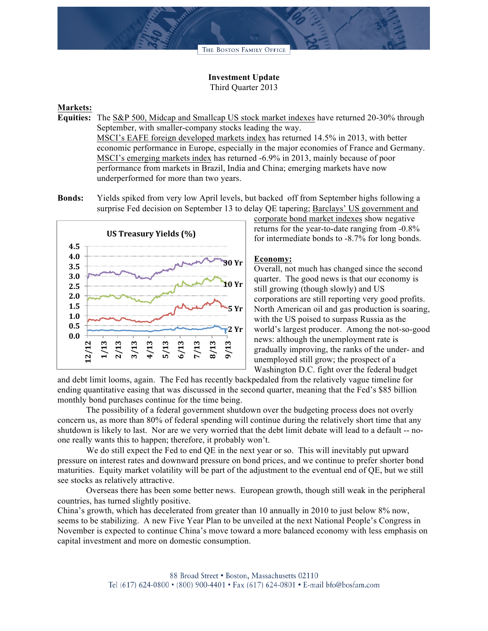THE BOSTON FAMILY OFFICE

## **Investment Update** Third Quarter 2013

## **Markets:**

- **Equities:** The S&P 500, Midcap and Smallcap US stock market indexes have returned 20-30% through September, with smaller-company stocks leading the way. MSCI's EAFE foreign developed markets index has returned 14.5% in 2013, with better economic performance in Europe, especially in the major economies of France and Germany. MSCI's emerging markets index has returned -6.9% in 2013, mainly because of poor performance from markets in Brazil, India and China; emerging markets have now underperformed for more than two years.
- **Bonds:** Yields spiked from very low April levels, but backed off from September highs following a surprise Fed decision on September 13 to delay QE tapering; Barclays' US government and



corporate bond market indexes show negative returns for the year-to-date ranging from -0.8% for intermediate bonds to -8.7% for long bonds.

## **Economy:**

Overall, not much has changed since the second quarter. The good news is that our economy is still growing (though slowly) and US corporations are still reporting very good profits. North American oil and gas production is soaring, with the US poised to surpass Russia as the world's largest producer. Among the not-so-good news: although the unemployment rate is gradually improving, the ranks of the under- and unemployed still grow; the prospect of a Washington D.C. fight over the federal budget

and debt limit looms, again. The Fed has recently backpedaled from the relatively vague timeline for ending quantitative easing that was discussed in the second quarter, meaning that the Fed's \$85 billion monthly bond purchases continue for the time being.

The possibility of a federal government shutdown over the budgeting process does not overly concern us, as more than 80% of federal spending will continue during the relatively short time that any shutdown is likely to last. Nor are we very worried that the debt limit debate will lead to a default -- noone really wants this to happen; therefore, it probably won't.

We do still expect the Fed to end QE in the next year or so. This will inevitably put upward pressure on interest rates and downward pressure on bond prices, and we continue to prefer shorter bond maturities. Equity market volatility will be part of the adjustment to the eventual end of QE, but we still see stocks as relatively attractive.

Overseas there has been some better news. European growth, though still weak in the peripheral countries, has turned slightly positive.

China's growth, which has decelerated from greater than 10 annually in 2010 to just below 8% now, seems to be stabilizing. A new Five Year Plan to be unveiled at the next National People's Congress in November is expected to continue China's move toward a more balanced economy with less emphasis on capital investment and more on domestic consumption.